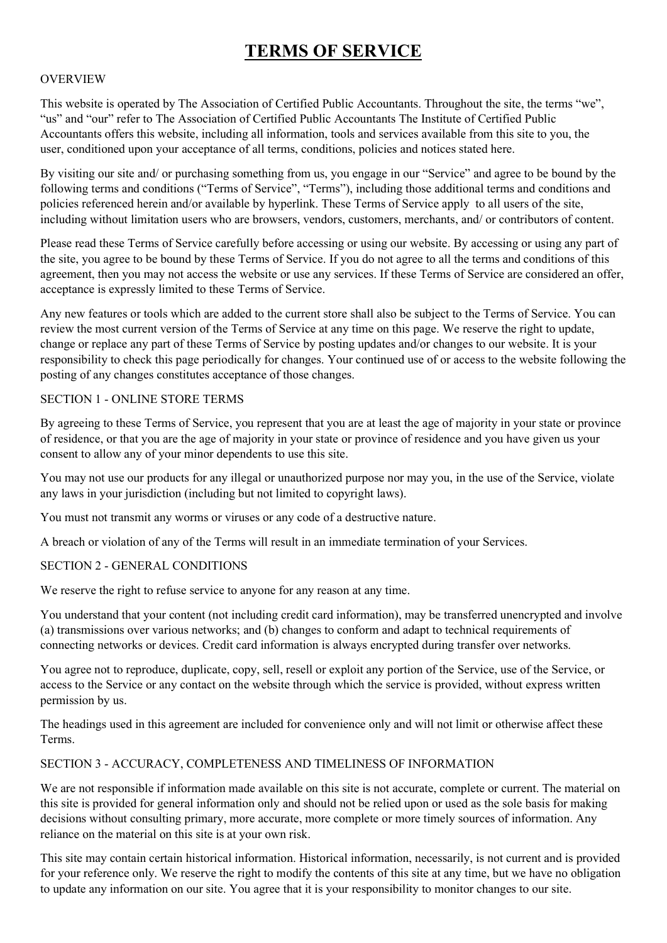# TERMS OF SERVICE

#### OVERVIEW

This website is operated by The Association of Certified Public Accountants. Throughout the site, the terms "we", "us" and "our" refer to The Association of Certified Public Accountants The Institute of Certified Public Accountants offers this website, including all information, tools and services available from this site to you, the user, conditioned upon your acceptance of all terms, conditions, policies and notices stated here.

By visiting our site and/ or purchasing something from us, you engage in our "Service" and agree to be bound by the following terms and conditions ("Terms of Service", "Terms"), including those additional terms and conditions and policies referenced herein and/or available by hyperlink. These Terms of Service apply to all users of the site, including without limitation users who are browsers, vendors, customers, merchants, and/ or contributors of content.

Please read these Terms of Service carefully before accessing or using our website. By accessing or using any part of the site, you agree to be bound by these Terms of Service. If you do not agree to all the terms and conditions of this agreement, then you may not access the website or use any services. If these Terms of Service are considered an offer, acceptance is expressly limited to these Terms of Service.

Any new features or tools which are added to the current store shall also be subject to the Terms of Service. You can review the most current version of the Terms of Service at any time on this page. We reserve the right to update, change or replace any part of these Terms of Service by posting updates and/or changes to our website. It is your responsibility to check this page periodically for changes. Your continued use of or access to the website following the posting of any changes constitutes acceptance of those changes.

## SECTION 1 - ONLINE STORE TERMS

By agreeing to these Terms of Service, you represent that you are at least the age of majority in your state or province of residence, or that you are the age of majority in your state or province of residence and you have given us your consent to allow any of your minor dependents to use this site.

You may not use our products for any illegal or unauthorized purpose nor may you, in the use of the Service, violate any laws in your jurisdiction (including but not limited to copyright laws).

You must not transmit any worms or viruses or any code of a destructive nature.

A breach or violation of any of the Terms will result in an immediate termination of your Services.

## SECTION 2 - GENERAL CONDITIONS

We reserve the right to refuse service to anyone for any reason at any time.

You understand that your content (not including credit card information), may be transferred unencrypted and involve (a) transmissions over various networks; and (b) changes to conform and adapt to technical requirements of connecting networks or devices. Credit card information is always encrypted during transfer over networks.

You agree not to reproduce, duplicate, copy, sell, resell or exploit any portion of the Service, use of the Service, or access to the Service or any contact on the website through which the service is provided, without express written permission by us.

The headings used in this agreement are included for convenience only and will not limit or otherwise affect these Terms.

## SECTION 3 - ACCURACY, COMPLETENESS AND TIMELINESS OF INFORMATION

We are not responsible if information made available on this site is not accurate, complete or current. The material on this site is provided for general information only and should not be relied upon or used as the sole basis for making decisions without consulting primary, more accurate, more complete or more timely sources of information. Any reliance on the material on this site is at your own risk.

This site may contain certain historical information. Historical information, necessarily, is not current and is provided for your reference only. We reserve the right to modify the contents of this site at any time, but we have no obligation to update any information on our site. You agree that it is your responsibility to monitor changes to our site.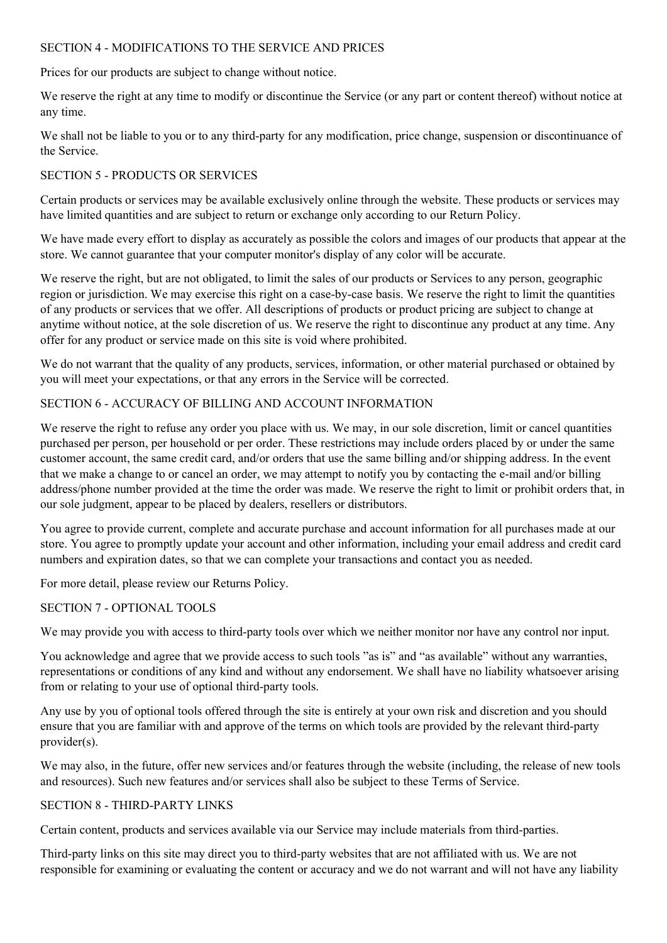#### SECTION 4 - MODIFICATIONS TO THE SERVICE AND PRICES

Prices for our products are subject to change without notice.

We reserve the right at any time to modify or discontinue the Service (or any part or content thereof) without notice at any time.

We shall not be liable to you or to any third-party for any modification, price change, suspension or discontinuance of the Service.

# SECTION 5 - PRODUCTS OR SERVICES

Certain products or services may be available exclusively online through the website. These products or services may have limited quantities and are subject to return or exchange only according to our Return Policy.

We have made every effort to display as accurately as possible the colors and images of our products that appear at the store. We cannot guarantee that your computer monitor's display of any color will be accurate.

We reserve the right, but are not obligated, to limit the sales of our products or Services to any person, geographic region or jurisdiction. We may exercise this right on a case-by-case basis. We reserve the right to limit the quantities of any products or services that we offer. All descriptions of products or product pricing are subject to change at anytime without notice, at the sole discretion of us. We reserve the right to discontinue any product at any time. Any offer for any product or service made on this site is void where prohibited.

We do not warrant that the quality of any products, services, information, or other material purchased or obtained by you will meet your expectations, or that any errors in the Service will be corrected.

# SECTION 6 - ACCURACY OF BILLING AND ACCOUNT INFORMATION

We reserve the right to refuse any order you place with us. We may, in our sole discretion, limit or cancel quantities purchased per person, per household or per order. These restrictions may include orders placed by or under the same customer account, the same credit card, and/or orders that use the same billing and/or shipping address. In the event that we make a change to or cancel an order, we may attempt to notify you by contacting the e-mail and/or billing address/phone number provided at the time the order was made. We reserve the right to limit or prohibit orders that, in our sole judgment, appear to be placed by dealers, resellers or distributors.

You agree to provide current, complete and accurate purchase and account information for all purchases made at our store. You agree to promptly update your account and other information, including your email address and credit card numbers and expiration dates, so that we can complete your transactions and contact you as needed.

For more detail, please review our Returns Policy.

# SECTION 7 - OPTIONAL TOOLS

We may provide you with access to third-party tools over which we neither monitor nor have any control nor input.

You acknowledge and agree that we provide access to such tools "as is" and "as available" without any warranties, representations or conditions of any kind and without any endorsement. We shall have no liability whatsoever arising from or relating to your use of optional third-party tools.

Any use by you of optional tools offered through the site is entirely at your own risk and discretion and you should ensure that you are familiar with and approve of the terms on which tools are provided by the relevant third-party provider(s).

We may also, in the future, offer new services and/or features through the website (including, the release of new tools and resources). Such new features and/or services shall also be subject to these Terms of Service.

# SECTION 8 - THIRD-PARTY LINKS

Certain content, products and services available via our Service may include materials from third-parties.

Third-party links on this site may direct you to third-party websites that are not affiliated with us. We are not responsible for examining or evaluating the content or accuracy and we do not warrant and will not have any liability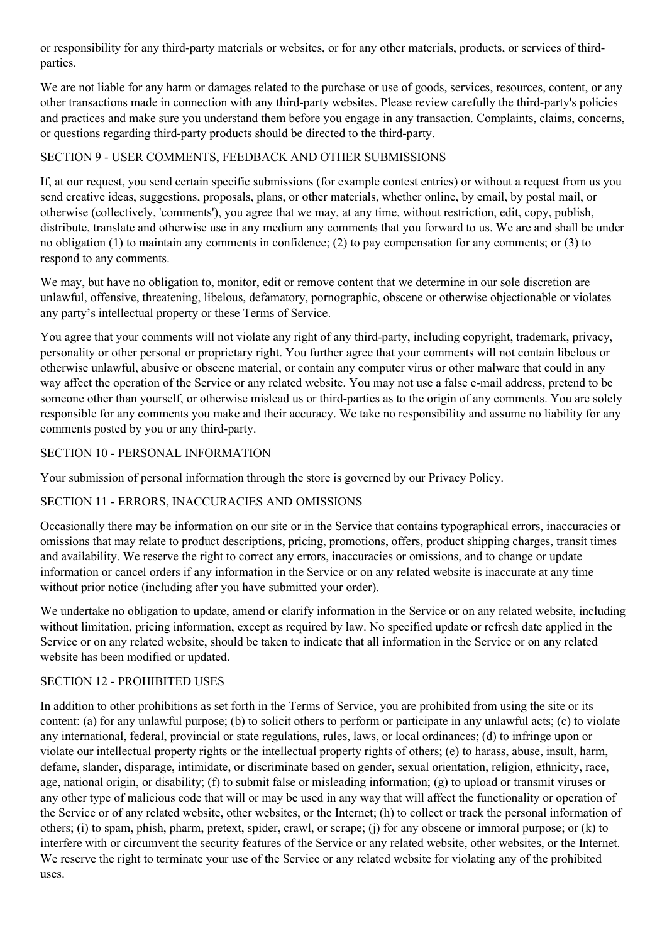or responsibility for any third-party materials or websites, or for any other materials, products, or services of thirdparties.

We are not liable for any harm or damages related to the purchase or use of goods, services, resources, content, or any other transactions made in connection with any third-party websites. Please review carefully the third-party's policies and practices and make sure you understand them before you engage in any transaction. Complaints, claims, concerns, or questions regarding third-party products should be directed to the third-party.

## SECTION 9 - USER COMMENTS, FEEDBACK AND OTHER SUBMISSIONS

If, at our request, you send certain specific submissions (for example contest entries) or without a request from us you send creative ideas, suggestions, proposals, plans, or other materials, whether online, by email, by postal mail, or otherwise (collectively, 'comments'), you agree that we may, at any time, without restriction, edit, copy, publish, distribute, translate and otherwise use in any medium any comments that you forward to us. We are and shall be under no obligation (1) to maintain any comments in confidence; (2) to pay compensation for any comments; or (3) to respond to any comments.

We may, but have no obligation to, monitor, edit or remove content that we determine in our sole discretion are unlawful, offensive, threatening, libelous, defamatory, pornographic, obscene or otherwise objectionable or violates any party's intellectual property or these Terms of Service.

You agree that your comments will not violate any right of any third-party, including copyright, trademark, privacy, personality or other personal or proprietary right. You further agree that your comments will not contain libelous or otherwise unlawful, abusive or obscene material, or contain any computer virus or other malware that could in any way affect the operation of the Service or any related website. You may not use a false e-mail address, pretend to be someone other than yourself, or otherwise mislead us or third-parties as to the origin of any comments. You are solely responsible for any comments you make and their accuracy. We take no responsibility and assume no liability for any comments posted by you or any third-party.

## SECTION 10 - PERSONAL INFORMATION

Your submission of personal information through the store is governed by our Privacy Policy.

## SECTION 11 - ERRORS, INACCURACIES AND OMISSIONS

Occasionally there may be information on our site or in the Service that contains typographical errors, inaccuracies or omissions that may relate to product descriptions, pricing, promotions, offers, product shipping charges, transit times and availability. We reserve the right to correct any errors, inaccuracies or omissions, and to change or update information or cancel orders if any information in the Service or on any related website is inaccurate at any time without prior notice (including after you have submitted your order).

We undertake no obligation to update, amend or clarify information in the Service or on any related website, including without limitation, pricing information, except as required by law. No specified update or refresh date applied in the Service or on any related website, should be taken to indicate that all information in the Service or on any related website has been modified or updated.

## SECTION 12 - PROHIBITED USES

In addition to other prohibitions as set forth in the Terms of Service, you are prohibited from using the site or its content: (a) for any unlawful purpose; (b) to solicit others to perform or participate in any unlawful acts; (c) to violate any international, federal, provincial or state regulations, rules, laws, or local ordinances; (d) to infringe upon or violate our intellectual property rights or the intellectual property rights of others; (e) to harass, abuse, insult, harm, defame, slander, disparage, intimidate, or discriminate based on gender, sexual orientation, religion, ethnicity, race, age, national origin, or disability; (f) to submit false or misleading information; (g) to upload or transmit viruses or any other type of malicious code that will or may be used in any way that will affect the functionality or operation of the Service or of any related website, other websites, or the Internet; (h) to collect or track the personal information of others; (i) to spam, phish, pharm, pretext, spider, crawl, or scrape; (i) for any obscene or immoral purpose; or  $(k)$  to interfere with or circumvent the security features of the Service or any related website, other websites, or the Internet. We reserve the right to terminate your use of the Service or any related website for violating any of the prohibited uses.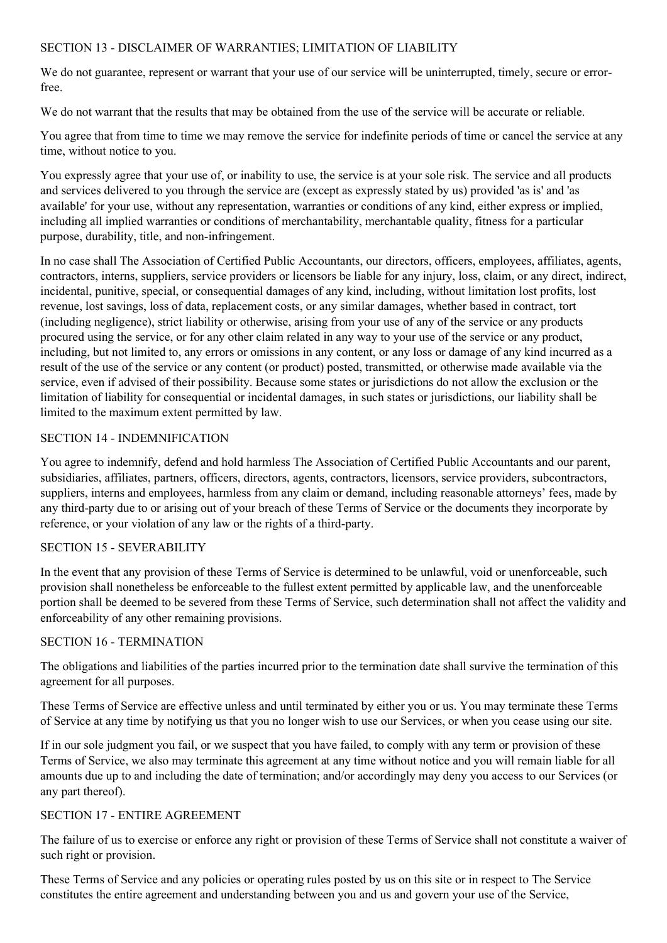## SECTION 13 - DISCLAIMER OF WARRANTIES; LIMITATION OF LIABILITY

We do not guarantee, represent or warrant that your use of our service will be uninterrupted, timely, secure or errorfree.

We do not warrant that the results that may be obtained from the use of the service will be accurate or reliable.

You agree that from time to time we may remove the service for indefinite periods of time or cancel the service at any time, without notice to you.

You expressly agree that your use of, or inability to use, the service is at your sole risk. The service and all products and services delivered to you through the service are (except as expressly stated by us) provided 'as is' and 'as available' for your use, without any representation, warranties or conditions of any kind, either express or implied, including all implied warranties or conditions of merchantability, merchantable quality, fitness for a particular purpose, durability, title, and non-infringement.

In no case shall The Association of Certified Public Accountants, our directors, officers, employees, affiliates, agents, contractors, interns, suppliers, service providers or licensors be liable for any injury, loss, claim, or any direct, indirect, incidental, punitive, special, or consequential damages of any kind, including, without limitation lost profits, lost revenue, lost savings, loss of data, replacement costs, or any similar damages, whether based in contract, tort (including negligence), strict liability or otherwise, arising from your use of any of the service or any products procured using the service, or for any other claim related in any way to your use of the service or any product, including, but not limited to, any errors or omissions in any content, or any loss or damage of any kind incurred as a result of the use of the service or any content (or product) posted, transmitted, or otherwise made available via the service, even if advised of their possibility. Because some states or jurisdictions do not allow the exclusion or the limitation of liability for consequential or incidental damages, in such states or jurisdictions, our liability shall be limited to the maximum extent permitted by law.

#### SECTION 14 - INDEMNIFICATION

You agree to indemnify, defend and hold harmless The Association of Certified Public Accountants and our parent, subsidiaries, affiliates, partners, officers, directors, agents, contractors, licensors, service providers, subcontractors, suppliers, interns and employees, harmless from any claim or demand, including reasonable attorneys' fees, made by any third-party due to or arising out of your breach of these Terms of Service or the documents they incorporate by reference, or your violation of any law or the rights of a third-party.

## SECTION 15 - SEVERABILITY

In the event that any provision of these Terms of Service is determined to be unlawful, void or unenforceable, such provision shall nonetheless be enforceable to the fullest extent permitted by applicable law, and the unenforceable portion shall be deemed to be severed from these Terms of Service, such determination shall not affect the validity and enforceability of any other remaining provisions.

## SECTION 16 - TERMINATION

The obligations and liabilities of the parties incurred prior to the termination date shall survive the termination of this agreement for all purposes.

These Terms of Service are effective unless and until terminated by either you or us. You may terminate these Terms of Service at any time by notifying us that you no longer wish to use our Services, or when you cease using our site.

If in our sole judgment you fail, or we suspect that you have failed, to comply with any term or provision of these Terms of Service, we also may terminate this agreement at any time without notice and you will remain liable for all amounts due up to and including the date of termination; and/or accordingly may deny you access to our Services (or any part thereof).

## SECTION 17 - ENTIRE AGREEMENT

The failure of us to exercise or enforce any right or provision of these Terms of Service shall not constitute a waiver of such right or provision.

These Terms of Service and any policies or operating rules posted by us on this site or in respect to The Service constitutes the entire agreement and understanding between you and us and govern your use of the Service,